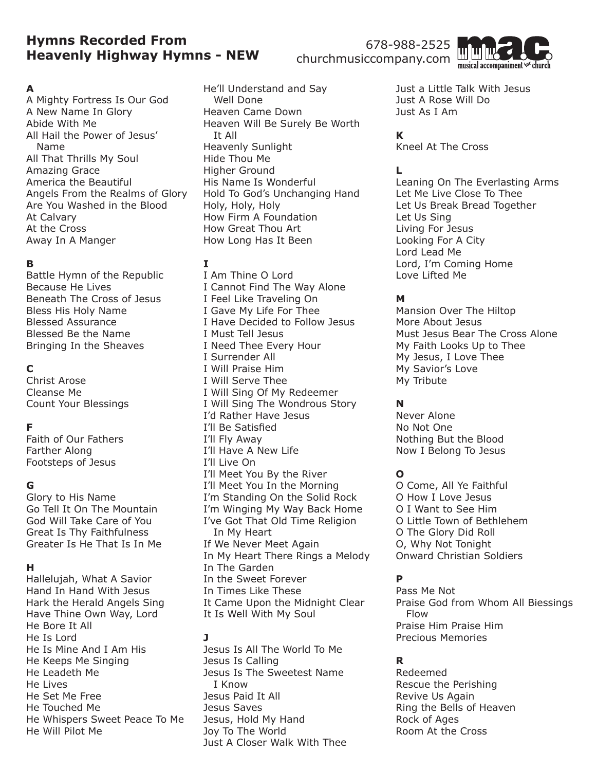# **Hymns Recorded From Heavenly Highway Hymns - NEW**

#### **A**

A Mighty Fortress Is Our God A New Name In Glory Abide With Me All Hail the Power of Jesus' Name All That Thrills My Soul Amazing Grace America the Beautiful Angels From the Realms of Glory Are You Washed in the Blood At Calvary At the Cross Away In A Manger

#### **B**

Battle Hymn of the Republic Because He Lives Beneath The Cross of Jesus Bless His Holy Name Blessed Assurance Blessed Be the Name Bringing In the Sheaves

## **C**

Christ Arose Cleanse Me Count Your Blessings

# **F**

Faith of Our Fathers Farther Along Footsteps of Jesus

#### **G**

Glory to His Name Go Tell It On The Mountain God Will Take Care of You Great Is Thy Faithfulness Greater Is He That Is In Me

#### **H**

Hallelujah, What A Savior Hand In Hand With Jesus Hark the Herald Angels Sing Have Thine Own Way, Lord He Bore It All He Is Lord He Is Mine And I Am His He Keeps Me Singing He Leadeth Me He Lives He Set Me Free He Touched Me He Whispers Sweet Peace To Me He Will Pilot Me

He'll Understand and Say Well Done Heaven Came Down Heaven Will Be Surely Be Worth It All Heavenly Sunlight Hide Thou Me Higher Ground His Name Is Wonderful Hold To God's Unchanging Hand Holy, Holy, Holy How Firm A Foundation How Great Thou Art How Long Has It Been

## **I**

I Am Thine O Lord I Cannot Find The Way Alone I Feel Like Traveling On I Gave My Life For Thee I Have Decided to Follow Jesus I Must Tell Jesus I Need Thee Every Hour I Surrender All I Will Praise Him I Will Serve Thee I Will Sing Of My Redeemer I Will Sing The Wondrous Story I'd Rather Have Jesus I'll Be Satisfied I'll Fly Away I'll Have A New Life I'll Live On I'll Meet You By the River I'll Meet You In the Morning I'm Standing On the Solid Rock I'm Winging My Way Back Home I've Got That Old Time Religion In My Heart If We Never Meet Again In My Heart There Rings a Melody In The Garden In the Sweet Forever In Times Like These It Came Upon the Midnight Clear It Is Well With My Soul

## **J**

Jesus Is All The World To Me Jesus Is Calling Jesus Is The Sweetest Name I Know Jesus Paid It All Jesus Saves Jesus, Hold My Hand Joy To The World Just A Closer Walk With Thee Just a Little Talk With Jesus Just A Rose Will Do Just As I Am

# **K**

Kneel At The Cross

# **L**

Leaning On The Everlasting Arms Let Me Live Close To Thee Let Us Break Bread Together Let Us Sing Living For Jesus Looking For A City Lord Lead Me Lord, I'm Coming Home Love Lifted Me

## **M**

Mansion Over The Hiltop More About Jesus Must Jesus Bear The Cross Alone My Faith Looks Up to Thee My Jesus, I Love Thee My Savior's Love My Tribute

# **N**

Never Alone No Not One Nothing But the Blood Now I Belong To Jesus

# **O**

O Come, All Ye Faithful O How I Love Jesus O I Want to See Him O Little Town of Bethlehem O The Glory Did Roll O, Why Not Tonight Onward Christian Soldiers

# **P**

Pass Me Not Praise God from Whom All Biessings Flow Praise Him Praise Him Precious Memories

## **R**

Redeemed Rescue the Perishing Revive Us Again Ring the Bells of Heaven Rock of Ages Room At the Cross